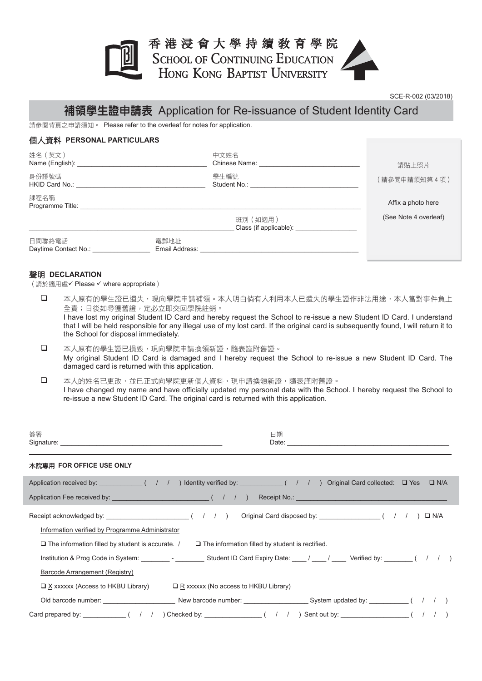# 香港浸會大學持續敎育學院 SCHOOL OF CONTINUING EDUCATION<br>HONG KONG BAPTIST UNIVERSITY



### 補領學生證申請表 Application for Re-issuance of Student Identity Card

**請參閱背頁之申請須知。 Please refer to the overleaf for notes for application.** 

#### **個人資料 PERSONAL PARTICULARS**

| 姓名 (英文)<br>Name (English):<br>身份證號碼<br>HKID Card No.: |                        | 中文姓名<br>Chinese Name:<br>學生編號<br>Student No.: | 請貼上照片<br>(請參閱申請須知第4項)                       |
|-------------------------------------------------------|------------------------|-----------------------------------------------|---------------------------------------------|
| 課程名稱<br>Programme Title:                              |                        | 班別 (如適用)                                      | Affix a photo here<br>(See Note 4 overleaf) |
| 日間聯絡電話<br>Daytime Contact No.:                        | 電郵地址<br>Email Address: | Class (if applicable):                        |                                             |

#### ☰ᑢ **DECLARATION**

(請於適用處√ Please √ where appropriate)

- □ 本人原有的學生證已遺失,現向學院申請補領。本人明白倘有人利用本人已遺失的學生證作非法用途,本人當對事件負上 全責;日後如尋獲舊證,定必立即交回學院註銷。 I have lost my original Student ID Card and hereby request the School to re-issue a new Student ID Card. I understand that I will be held responsible for any illegal use of my lost card. If the original card is subsequently found, I will return it to the School for disposal immediately.
- □ 本人原有的學生證已損毀,現向學院申請換領新證,隨表謹附舊證。 My original Student ID Card is damaged and I hereby request the School to re-issue a new Student ID Card. The damaged card is returned with this application.
- □ 本人的姓名已更改,並已正式向學院更新個人資料,現申請換領新證,隨表謹附舊證。 I have changed my name and have officially updated my personal data with the School. I hereby request the School to re-issue a new Student ID Card. The original card is returned with this application.

| 簽署                                                                                                                                                                                                                                                                                           | 日期                                                                                                                                                        |
|----------------------------------------------------------------------------------------------------------------------------------------------------------------------------------------------------------------------------------------------------------------------------------------------|-----------------------------------------------------------------------------------------------------------------------------------------------------------|
| 本院專用 FOR OFFICE USE ONLY                                                                                                                                                                                                                                                                     |                                                                                                                                                           |
|                                                                                                                                                                                                                                                                                              | Application received by: $(1 \mid 1)$ Identity verified by: $(1 \mid 1)$ Original Card collected: $\Box$ Yes $\Box$ N/A                                   |
| Information verified by Programme Administrator<br>$\Box$ The information filled by student is accurate. $\Box$ The information filled by student is rectified.<br>Barcode Arrangement (Registry)<br>$\Box$ X xxxxxx (Access to HKBU Library)<br>$\Box$ R xxxxxx (No access to HKBU Library) | $\square$ N/A<br>Institution & Prog Code in System: _______________________Student ID Card Expiry Date: _____/ _____/ ______ Verified by: ________( / / ) |
|                                                                                                                                                                                                                                                                                              |                                                                                                                                                           |